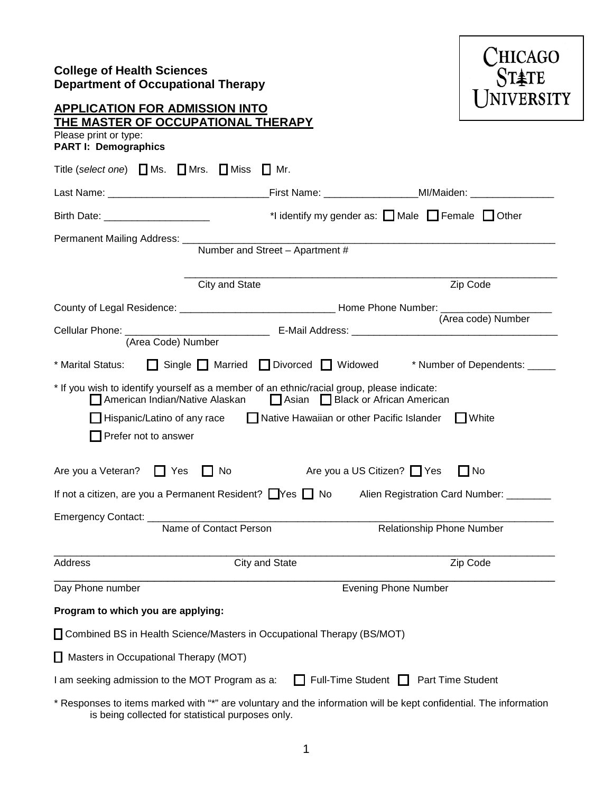# **College of Health Sciences Department of Occupational Therapy**



# **APPLICATION FOR ADMISSION INTO THE MASTER OF OCCUPATIONAL THERAPY**

Please print or type:

| <b>PART I: Demographics</b> |  |
|-----------------------------|--|
|-----------------------------|--|

| Title (select one) $\Box$ Ms.                                                                                          | $\Box$ Mrs. $\Box$ Miss<br>ⅠIMr.                                                                 |                                                                                                                                                                                                                                                     |
|------------------------------------------------------------------------------------------------------------------------|--------------------------------------------------------------------------------------------------|-----------------------------------------------------------------------------------------------------------------------------------------------------------------------------------------------------------------------------------------------------|
|                                                                                                                        |                                                                                                  |                                                                                                                                                                                                                                                     |
| Birth Date: _______________________                                                                                    |                                                                                                  | *I identify my gender as: $\Box$ Male $\Box$ Female $\Box$ Other                                                                                                                                                                                    |
| Permanent Mailing Address: ___                                                                                         | Number and Street - Apartment #                                                                  |                                                                                                                                                                                                                                                     |
|                                                                                                                        | City and State                                                                                   | Zip Code                                                                                                                                                                                                                                            |
| (Area Code) Number                                                                                                     |                                                                                                  | (Area code) Number                                                                                                                                                                                                                                  |
| * Marital Status:                                                                                                      | Single Married Divorced Widowed                                                                  | * Number of Dependents: _____                                                                                                                                                                                                                       |
| American Indian/Native Alaskan<br>Hispanic/Latino of any race<br>Prefer not to answer<br>Are you a Veteran? $\Box$ Yes | * If you wish to identify yourself as a member of an ethnic/racial group, please indicate:<br>No | Asian Black or African American<br>Native Hawaiian or other Pacific Islander<br>$\Box$ White<br>Are you a US Citizen? Yes<br>$\blacksquare$ No<br>If not a citizen, are you a Permanent Resident? Thes T No Alien Registration Card Number: _______ |
|                                                                                                                        |                                                                                                  |                                                                                                                                                                                                                                                     |
|                                                                                                                        | Emergency Contact: <u>Name of Contact Person</u><br>Name of Contact Person                       | Relationship Phone Number                                                                                                                                                                                                                           |
| Address                                                                                                                | City and State                                                                                   | Zip Code                                                                                                                                                                                                                                            |
| Day Phone number                                                                                                       |                                                                                                  | <b>Evening Phone Number</b>                                                                                                                                                                                                                         |
| Program to which you are applying:                                                                                     |                                                                                                  |                                                                                                                                                                                                                                                     |
|                                                                                                                        | □ Combined BS in Health Science/Masters in Occupational Therapy (BS/MOT)                         |                                                                                                                                                                                                                                                     |
| Masters in Occupational Therapy (MOT)                                                                                  |                                                                                                  |                                                                                                                                                                                                                                                     |
| I am seeking admission to the MOT Program as a:                                                                        | l 1                                                                                              | Full-Time Student $\Box$<br>Part Time Student                                                                                                                                                                                                       |
|                                                                                                                        |                                                                                                  | * Responses to items marked with "*" are voluntary and the information will be kept confidential. The information                                                                                                                                   |

is being collected for statistical purposes only.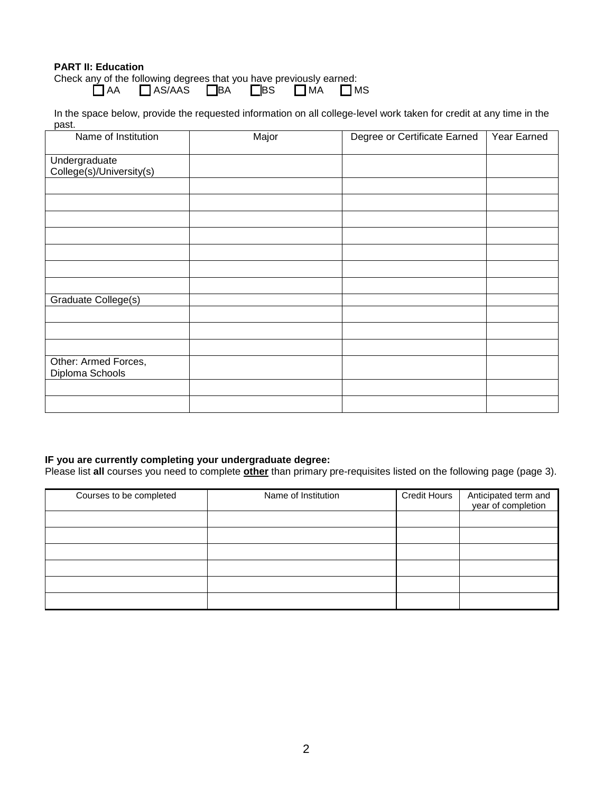### **PART II: Education**

Check any of the following degrees that you have previously earned: \_]AA \_\_]AS/AAS \_\_\_]BA \_\_\_\_]BS \_\_\_\_]MA \_\_\_]MS

In the space below, provide the requested information on all college-level work taken for credit at any time in the past.

| Name of Institution                     | Major | Degree or Certificate Earned | Year Earned |
|-----------------------------------------|-------|------------------------------|-------------|
| Undergraduate                           |       |                              |             |
| College(s)/University(s)                |       |                              |             |
|                                         |       |                              |             |
|                                         |       |                              |             |
|                                         |       |                              |             |
|                                         |       |                              |             |
|                                         |       |                              |             |
|                                         |       |                              |             |
|                                         |       |                              |             |
| Graduate College(s)                     |       |                              |             |
|                                         |       |                              |             |
|                                         |       |                              |             |
|                                         |       |                              |             |
| Other: Armed Forces,<br>Diploma Schools |       |                              |             |
|                                         |       |                              |             |
|                                         |       |                              |             |

## **IF you are currently completing your undergraduate degree:**

Please list **all** courses you need to complete **other** than primary pre-requisites listed on the following page (page 3).

| Courses to be completed | Name of Institution | <b>Credit Hours</b> | Anticipated term and<br>year of completion |
|-------------------------|---------------------|---------------------|--------------------------------------------|
|                         |                     |                     |                                            |
|                         |                     |                     |                                            |
|                         |                     |                     |                                            |
|                         |                     |                     |                                            |
|                         |                     |                     |                                            |
|                         |                     |                     |                                            |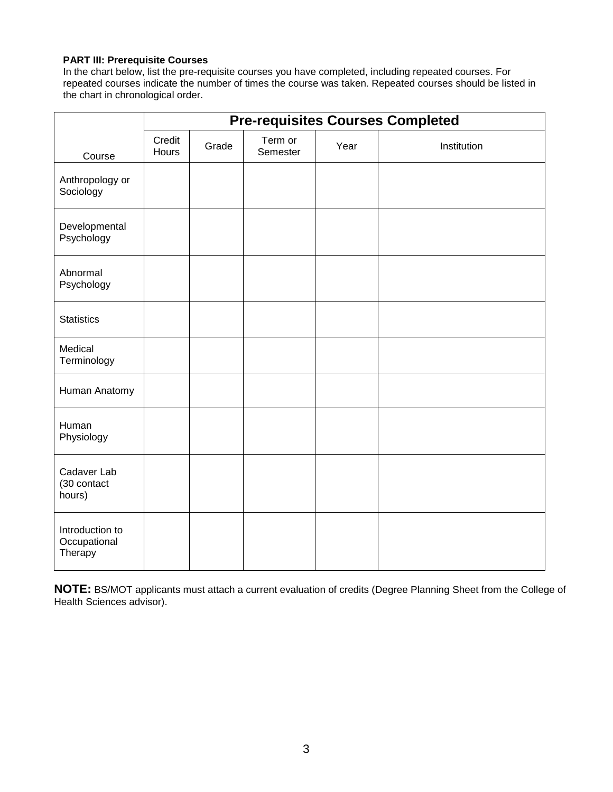#### **PART III: Prerequisite Courses**

In the chart below, list the pre-requisite courses you have completed, including repeated courses. For repeated courses indicate the number of times the course was taken. Repeated courses should be listed in the chart in chronological order.

|                                            | <b>Pre-requisites Courses Completed</b> |       |                     |      |             |
|--------------------------------------------|-----------------------------------------|-------|---------------------|------|-------------|
| Course                                     | Credit<br>Hours                         | Grade | Term or<br>Semester | Year | Institution |
| Anthropology or<br>Sociology               |                                         |       |                     |      |             |
| Developmental<br>Psychology                |                                         |       |                     |      |             |
| Abnormal<br>Psychology                     |                                         |       |                     |      |             |
| <b>Statistics</b>                          |                                         |       |                     |      |             |
| Medical<br>Terminology                     |                                         |       |                     |      |             |
| Human Anatomy                              |                                         |       |                     |      |             |
| Human<br>Physiology                        |                                         |       |                     |      |             |
| Cadaver Lab<br>(30 contact<br>hours)       |                                         |       |                     |      |             |
| Introduction to<br>Occupational<br>Therapy |                                         |       |                     |      |             |

**NOTE:** BS/MOT applicants must attach a current evaluation of credits (Degree Planning Sheet from the College of Health Sciences advisor).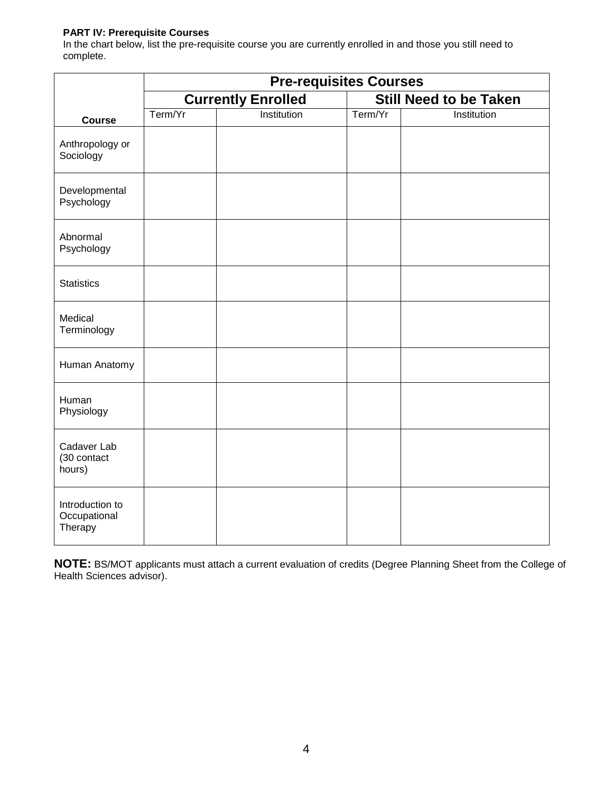### **PART IV: Prerequisite Courses**

In the chart below, list the pre-requisite course you are currently enrolled in and those you still need to complete.

|                                            | <b>Pre-requisites Courses</b> |                           |                               |             |  |  |
|--------------------------------------------|-------------------------------|---------------------------|-------------------------------|-------------|--|--|
|                                            |                               | <b>Currently Enrolled</b> | <b>Still Need to be Taken</b> |             |  |  |
| <b>Course</b>                              | Term/Yr                       | Institution               | Term/Yr                       | Institution |  |  |
| Anthropology or<br>Sociology               |                               |                           |                               |             |  |  |
| Developmental<br>Psychology                |                               |                           |                               |             |  |  |
| Abnormal<br>Psychology                     |                               |                           |                               |             |  |  |
| <b>Statistics</b>                          |                               |                           |                               |             |  |  |
| Medical<br>Terminology                     |                               |                           |                               |             |  |  |
| Human Anatomy                              |                               |                           |                               |             |  |  |
| Human<br>Physiology                        |                               |                           |                               |             |  |  |
| Cadaver Lab<br>(30 contact<br>hours)       |                               |                           |                               |             |  |  |
| Introduction to<br>Occupational<br>Therapy |                               |                           |                               |             |  |  |

**NOTE:** BS/MOT applicants must attach a current evaluation of credits (Degree Planning Sheet from the College of Health Sciences advisor).